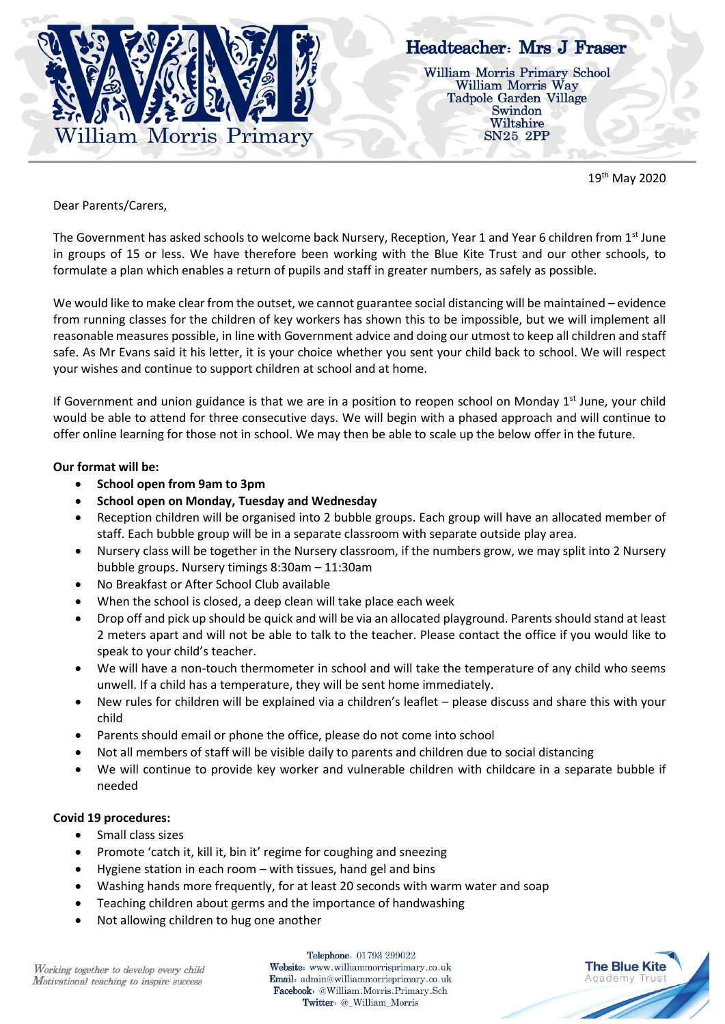

# Headteacher: Mrs J Fraser

**William Morris Primary School** William Morris Way **Tadpole Garden Village** Swindon Wiltshire **SN25 2PP** 

19th May 2020

Dear Parents/Carers,

The Government has asked schools to welcome back Nursery, Reception, Year 1 and Year 6 children from 1st June in groups of 15 or less. We have therefore been working with the Blue Kite Trust and our other schools, to formulate a plan which enables a return of pupils and staff in greater numbers, as safely as possible.

We would like to make clear from the outset, we cannot guarantee social distancing will be maintained – evidence from running classes for the children of key workers has shown this to be impossible, but we will implement all reasonable measures possible, in line with Government advice and doing our utmost to keep all children and staff safe. As Mr Evans said it his letter, it is your choice whether you sent your child back to school. We will respect your wishes and continue to support children at school and at home.

If Government and union guidance is that we are in a position to reopen school on Monday  $1<sup>st</sup>$  June, your child would be able to attend for three consecutive days. We will begin with a phased approach and will continue to offer online learning for those not in school. We may then be able to scale up the below offer in the future.

### **Our format will be:**

- **School open from 9am to 3pm**
- **School open on Monday, Tuesday and Wednesday**
- Reception children will be organised into 2 bubble groups. Each group will have an allocated member of staff. Each bubble group will be in a separate classroom with separate outside play area.
- Nursery class will be together in the Nursery classroom, if the numbers grow, we may split into 2 Nursery bubble groups. Nursery timings 8:30am – 11:30am
- No Breakfast or After School Club available
- When the school is closed, a deep clean will take place each week
- Drop off and pick up should be quick and will be via an allocated playground. Parents should stand at least 2 meters apart and will not be able to talk to the teacher. Please contact the office if you would like to speak to your child's teacher.
- We will have a non-touch thermometer in school and will take the temperature of any child who seems unwell. If a child has a temperature, they will be sent home immediately.
- New rules for children will be explained via a children's leaflet please discuss and share this with your child
- Parents should email or phone the office, please do not come into school
- Not all members of staff will be visible daily to parents and children due to social distancing
- We will continue to provide key worker and vulnerable children with childcare in a separate bubble if needed

## **Covid 19 procedures:**

- Small class sizes
- Promote 'catch it, kill it, bin it' regime for coughing and sneezing
- Hygiene station in each room with tissues, hand gel and bins
- Washing hands more frequently, for at least 20 seconds with warm water and soap
- Teaching children about germs and the importance of handwashing
- Not allowing children to hug one another

Telephone: 01793 299022 Website: www.williammorrisprimary.co.uk Email: admin@williammorrisprimary.co.uk Facebook: @William.Morris.Primary.Sch Twitter: @\_William\_Morris

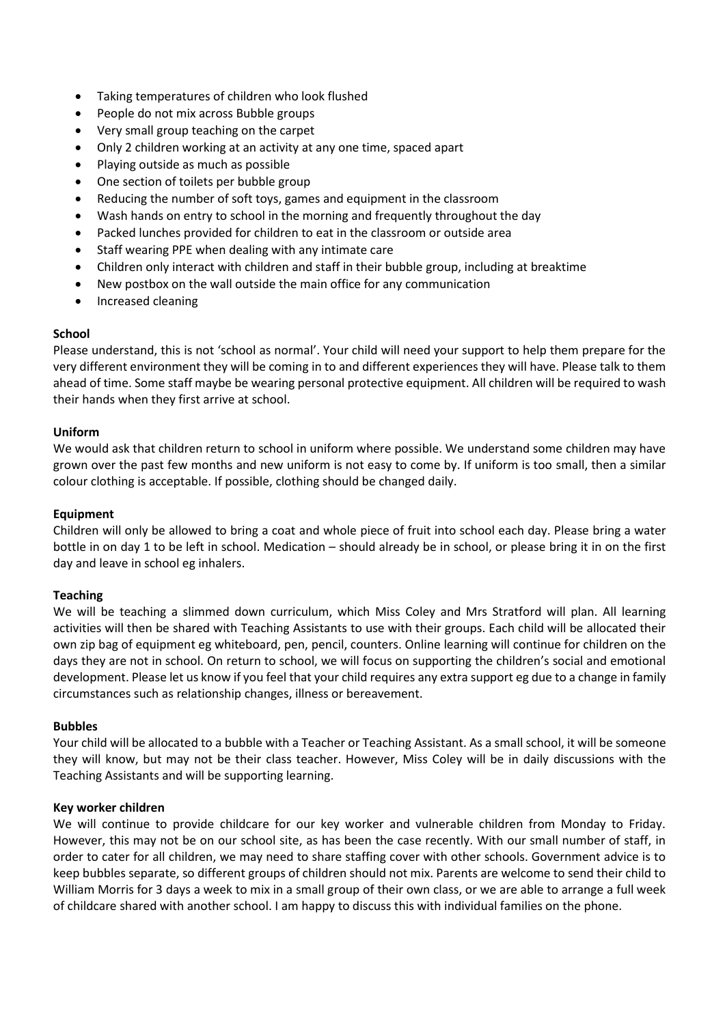- Taking temperatures of children who look flushed
- People do not mix across Bubble groups
- Very small group teaching on the carpet
- Only 2 children working at an activity at any one time, spaced apart
- Playing outside as much as possible
- One section of toilets per bubble group
- Reducing the number of soft toys, games and equipment in the classroom
- Wash hands on entry to school in the morning and frequently throughout the day
- Packed lunches provided for children to eat in the classroom or outside area
- Staff wearing PPE when dealing with any intimate care
- Children only interact with children and staff in their bubble group, including at breaktime
- New postbox on the wall outside the main office for any communication
- Increased cleaning

#### **School**

Please understand, this is not 'school as normal'. Your child will need your support to help them prepare for the very different environment they will be coming in to and different experiences they will have. Please talk to them ahead of time. Some staff maybe be wearing personal protective equipment. All children will be required to wash their hands when they first arrive at school.

#### **Uniform**

We would ask that children return to school in uniform where possible. We understand some children may have grown over the past few months and new uniform is not easy to come by. If uniform is too small, then a similar colour clothing is acceptable. If possible, clothing should be changed daily.

#### **Equipment**

Children will only be allowed to bring a coat and whole piece of fruit into school each day. Please bring a water bottle in on day 1 to be left in school. Medication – should already be in school, or please bring it in on the first day and leave in school eg inhalers.

#### **Teaching**

We will be teaching a slimmed down curriculum, which Miss Coley and Mrs Stratford will plan. All learning activities will then be shared with Teaching Assistants to use with their groups. Each child will be allocated their own zip bag of equipment eg whiteboard, pen, pencil, counters. Online learning will continue for children on the days they are not in school. On return to school, we will focus on supporting the children's social and emotional development. Please let us know if you feel that your child requires any extra support eg due to a change in family circumstances such as relationship changes, illness or bereavement.

#### **Bubbles**

Your child will be allocated to a bubble with a Teacher or Teaching Assistant. As a small school, it will be someone they will know, but may not be their class teacher. However, Miss Coley will be in daily discussions with the Teaching Assistants and will be supporting learning.

#### **Key worker children**

We will continue to provide childcare for our key worker and vulnerable children from Monday to Friday. However, this may not be on our school site, as has been the case recently. With our small number of staff, in order to cater for all children, we may need to share staffing cover with other schools. Government advice is to keep bubbles separate, so different groups of children should not mix. Parents are welcome to send their child to William Morris for 3 days a week to mix in a small group of their own class, or we are able to arrange a full week of childcare shared with another school. I am happy to discuss this with individual families on the phone.